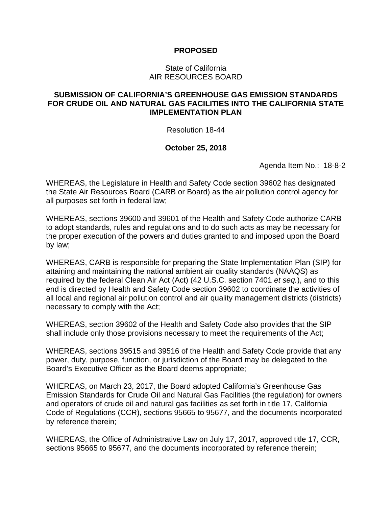## **PROPOSED**

### State of California AIR RESOURCES BOARD

## **SUBMISSION OF CALIFORNIA'S GREENHOUSE GAS EMISSION STANDARDS FOR CRUDE OIL AND NATURAL GAS FACILITIES INTO THE CALIFORNIA STATE IMPLEMENTATION PLAN**

Resolution 18-44

### **October 25, 2018**

Agenda Item No.: 18-8-2

WHEREAS, the Legislature in Health and Safety Code section 39602 has designated the State Air Resources Board (CARB or Board) as the air pollution control agency for all purposes set forth in federal law;

WHEREAS, sections 39600 and 39601 of the Health and Safety Code authorize CARB to adopt standards, rules and regulations and to do such acts as may be necessary for the proper execution of the powers and duties granted to and imposed upon the Board by law;

WHEREAS, CARB is responsible for preparing the State Implementation Plan (SIP) for attaining and maintaining the national ambient air quality standards (NAAQS) as required by the federal Clean Air Act (Act) (42 U.S.C. section 7401 *et seq.*), and to this end is directed by Health and Safety Code section 39602 to coordinate the activities of all local and regional air pollution control and air quality management districts (districts) necessary to comply with the Act;

WHEREAS, section 39602 of the Health and Safety Code also provides that the SIP shall include only those provisions necessary to meet the requirements of the Act;

WHEREAS, sections 39515 and 39516 of the Health and Safety Code provide that any power, duty, purpose, function, or jurisdiction of the Board may be delegated to the Board's Executive Officer as the Board deems appropriate;

WHEREAS, on March 23, 2017, the Board adopted California's Greenhouse Gas Emission Standards for Crude Oil and Natural Gas Facilities (the regulation) for owners and operators of crude oil and natural gas facilities as set forth in title 17, California Code of Regulations (CCR), sections 95665 to 95677, and the documents incorporated by reference therein;

WHEREAS, the Office of Administrative Law on July 17, 2017, approved title 17, CCR, sections 95665 to 95677, and the documents incorporated by reference therein;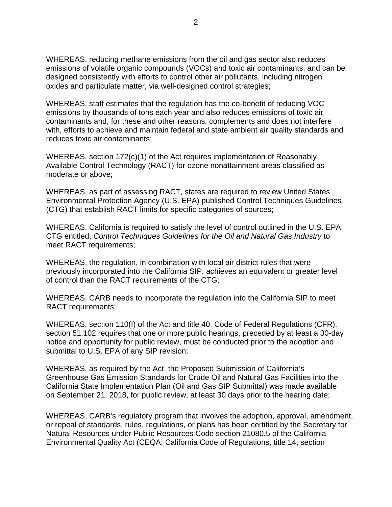WHEREAS, reducing methane emissions from the oil and gas sector also reduces emissions of volatile organic compounds (VOCs) and toxic air contaminants, and can be designed consistently with efforts to control other air pollutants, including nitrogen oxides and particulate matter, via well-designed control strategies;

WHEREAS, staff estimates that the regulation has the co-benefit of reducing VOC emissions by thousands of tons each year and also reduces emissions of toxic air contaminants and, for these and other reasons, complements and does not interfere with, efforts to achieve and maintain federal and state ambient air quality standards and reduces toxic air contaminants;

WHEREAS, section 172(c)(1) of the Act requires implementation of Reasonably Available Control Technology (RACT) for ozone nonattainment areas classified as moderate or above;

WHEREAS, as part of assessing RACT, states are required to review United States Environmental Protection Agency (U.S. EPA) published Control Techniques Guidelines (CTG) that establish RACT limits for specific categories of sources;

WHEREAS, California is required to satisfy the level of control outlined in the U.S. EPA CTG entitled, *Control Techniques Guidelines for the Oil and Natural Gas Industry* to meet RACT requirements;

WHEREAS, the regulation, in combination with local air district rules that were previously incorporated into the California SIP, achieves an equivalent or greater level of control than the RACT requirements of the CTG;

WHEREAS, CARB needs to incorporate the regulation into the California SIP to meet RACT requirements;

WHEREAS, section 110(I) of the Act and title 40, Code of Federal Regulations (CFR), section 51.102 requires that one or more public hearings, preceded by at least a 30-day notice and opportunity for public review, must be conducted prior to the adoption and submittal to U.S. EPA of any SIP revision;

WHEREAS, as required by the Act, the Proposed Submission of California's Greenhouse Gas Emission Standards for Crude Oil and Natural Gas Facilities into the California State Implementation Plan (Oil and Gas SIP Submittal) was made available on September 21, 2018, for public review, at least 30 days prior to the hearing date;

WHEREAS, CARB's regulatory program that involves the adoption, approval, amendment, or repeal of standards, rules, regulations, or plans has been certified by the Secretary for Natural Resources under Public Resources Code section 21080.5 of the California Environmental Quality Act (CEQA; California Code of Regulations, title 14, section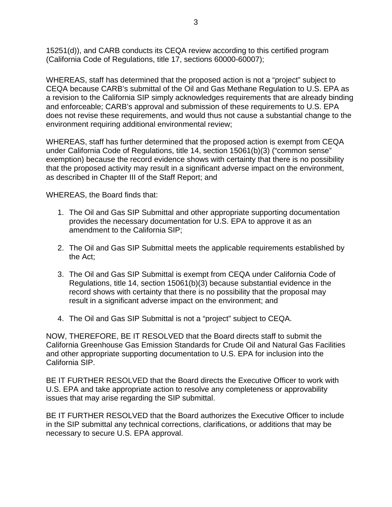15251(d)), and CARB conducts its CEQA review according to this certified program (California Code of Regulations, title 17, sections 60000-60007);

WHEREAS, staff has determined that the proposed action is not a "project" subject to CEQA because CARB's submittal of the Oil and Gas Methane Regulation to U.S. EPA as a revision to the California SIP simply acknowledges requirements that are already binding and enforceable; CARB's approval and submission of these requirements to U.S. EPA does not revise these requirements, and would thus not cause a substantial change to the environment requiring additional environmental review;

WHEREAS, staff has further determined that the proposed action is exempt from CEQA under California Code of Regulations, title 14, section 15061(b)(3) ("common sense" exemption) because the record evidence shows with certainty that there is no possibility that the proposed activity may result in a significant adverse impact on the environment, as described in Chapter III of the Staff Report; and

WHEREAS, the Board finds that:

- 1. The Oil and Gas SIP Submittal and other appropriate supporting documentation provides the necessary documentation for U.S. EPA to approve it as an amendment to the California SIP;
- 2. The Oil and Gas SIP Submittal meets the applicable requirements established by the Act;
- 3. The Oil and Gas SIP Submittal is exempt from CEQA under California Code of Regulations, title 14, section 15061(b)(3) because substantial evidence in the record shows with certainty that there is no possibility that the proposal may result in a significant adverse impact on the environment; and
- 4. The Oil and Gas SIP Submittal is not a "project" subject to CEQA.

NOW, THEREFORE, BE IT RESOLVED that the Board directs staff to submit the California Greenhouse Gas Emission Standards for Crude Oil and Natural Gas Facilities and other appropriate supporting documentation to U.S. EPA for inclusion into the California SIP.

BE IT FURTHER RESOLVED that the Board directs the Executive Officer to work with U.S. EPA and take appropriate action to resolve any completeness or approvability issues that may arise regarding the SIP submittal.

BE IT FURTHER RESOLVED that the Board authorizes the Executive Officer to include in the SIP submittal any technical corrections, clarifications, or additions that may be necessary to secure U.S. EPA approval.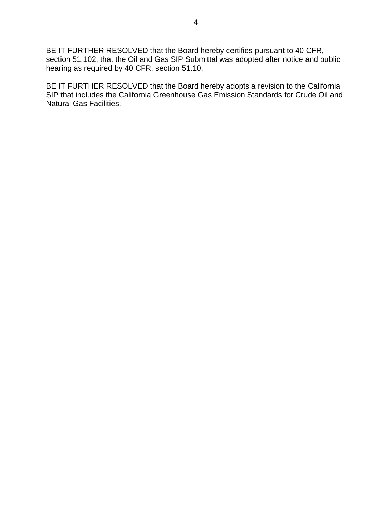BE IT FURTHER RESOLVED that the Board hereby certifies pursuant to 40 CFR, section 51.102, that the Oil and Gas SIP Submittal was adopted after notice and public hearing as required by 40 CFR, section 51.10.

BE IT FURTHER RESOLVED that the Board hereby adopts a revision to the California SIP that includes the California Greenhouse Gas Emission Standards for Crude Oil and Natural Gas Facilities.